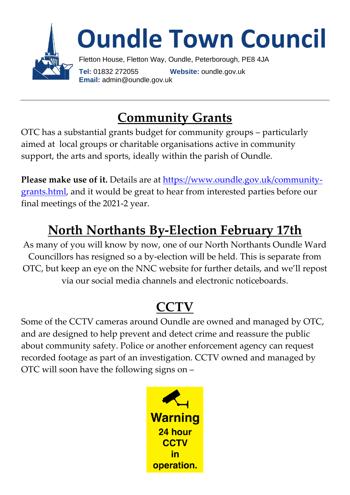

### **Community Grants**

OTC has a substantial grants budget for community groups – particularly aimed at local groups or charitable organisations active in community support, the arts and sports, ideally within the parish of Oundle.

Please make use of it. Details are at [https://www.oundle.gov.uk/community](https://www.oundle.gov.uk/community-grants.html)[grants.html,](https://www.oundle.gov.uk/community-grants.html) and it would be great to hear from interested parties before our final meetings of the 2021-2 year.

### **North Northants By-Election February 17th**

As many of you will know by now, one of our North Northants Oundle Ward Councillors has resigned so a by-election will be held. This is separate from OTC, but keep an eye on the NNC website for further details, and we'll repost via our social media channels and electronic noticeboards.

### **CCTV**

Some of the CCTV cameras around Oundle are owned and managed by OTC, and are designed to help prevent and detect crime and reassure the public about community safety. Police or another enforcement agency can request recorded footage as part of an investigation. CCTV owned and managed by OTC will soon have the following signs on –

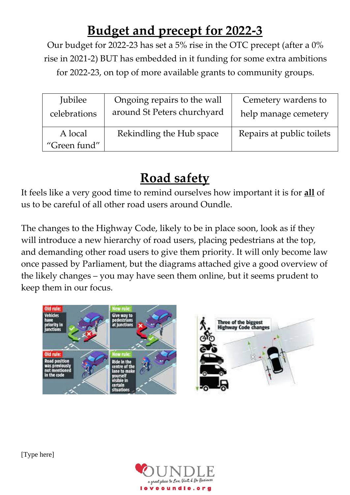## **Budget and precept for 2022-3**

Our budget for 2022-23 has set a 5% rise in the OTC precept (after a 0% rise in 2021-2) BUT has embedded in it funding for some extra ambitions for 2022-23, on top of more available grants to community groups.

| Jubilee                 | Ongoing repairs to the wall | Cemetery wardens to       |
|-------------------------|-----------------------------|---------------------------|
| celebrations            | around St Peters churchyard | help manage cemetery      |
| A local<br>"Green fund" | Rekindling the Hub space    | Repairs at public toilets |

## **Road safety**

It feels like a very good time to remind ourselves how important it is for **all** of us to be careful of all other road users around Oundle.

The changes to the Highway Code, likely to be in place soon, look as if they will introduce a new hierarchy of road users, placing pedestrians at the top, and demanding other road users to give them priority. It will only become law once passed by Parliament, but the diagrams attached give a good overview of the likely changes – you may have seen them online, but it seems prudent to keep them in our focus.